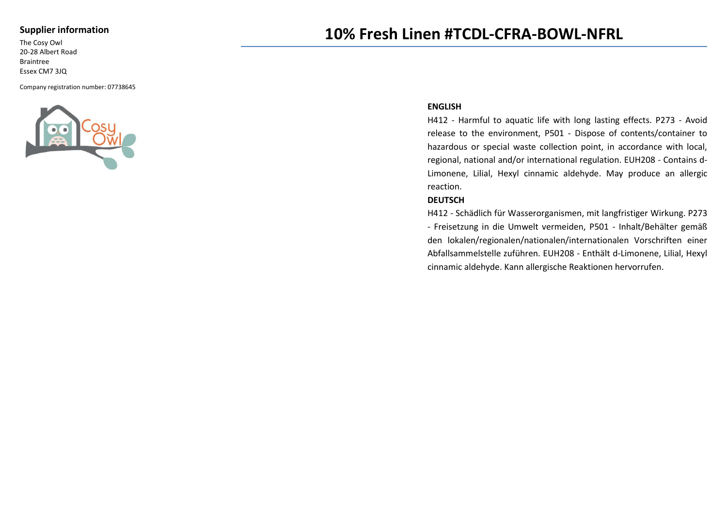### **Supplier information**

The Cosy Owl 20-28 Albert Road Braintree Essex CM7 3JQ

Company registration number: 07738645



# **10% Fresh Linen #TCDL-CFRA-BOWL-NFRL**

#### **ENGLISH**

H412 - Harmful to aquatic life with long lasting effects. P273 - Avoid release to the environment, P501 - Dispose of contents/container to hazardous or special waste collection point, in accordance with local, regional, national and/or international regulation. EUH208 - Contains d-Limonene, Lilial, Hexyl cinnamic aldehyde. May produce an allergic reaction.

#### **DEUTSCH**

H412 - Schädlich für Wasserorganismen, mit langfristiger Wirkung. P273 - Freisetzung in die Umwelt vermeiden, P501 - Inhalt/Behälter gemäß den lokalen/regionalen/nationalen/internationalen Vorschriften einer Abfallsammelstelle zuführen. EUH208 - Enthält d-Limonene, Lilial, Hexyl cinnamic aldehyde. Kann allergische Reaktionen hervorrufen.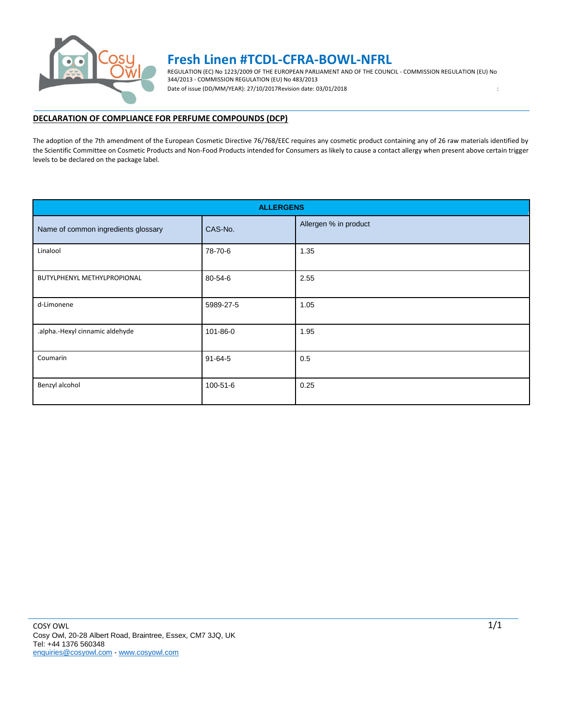

## **Fresh Linen #TCDL-CFRA-BOWL-NFRL**

REGULATION (EC) No 1223/2009 OF THE EUROPEAN PARLIAMENT AND OF THE COUNCIL - COMMISSION REGULATION (EU) No 344/2013 - COMMISSION REGULATION (EU) No 483/2013 Date of issue (DD/MM/YEAR): 27/10/2017Revision date: 03/01/2018 : <br>
:

### **DECLARATION OF COMPLIANCE FOR PERFUME COMPOUNDS (DCP)**

The adoption of the 7th amendment of the European Cosmetic Directive 76/768/EEC requires any cosmetic product containing any of 26 raw materials identified by the Scientific Committee on Cosmetic Products and Non-Food Products intended for Consumers as likely to cause a contact allergy when present above certain trigger levels to be declared on the package label.

|                                     | <b>ALLERGENS</b> |                       |  |
|-------------------------------------|------------------|-----------------------|--|
| Name of common ingredients glossary | CAS-No.          | Allergen % in product |  |
| Linalool                            | 78-70-6          | 1.35                  |  |
| BUTYLPHENYL METHYLPROPIONAL         | 80-54-6          | 2.55                  |  |
| d-Limonene                          | 5989-27-5        | 1.05                  |  |
| .alpha.-Hexyl cinnamic aldehyde     | 101-86-0         | 1.95                  |  |
| Coumarin                            | $91 - 64 - 5$    | 0.5                   |  |
| Benzyl alcohol                      | 100-51-6         | 0.25                  |  |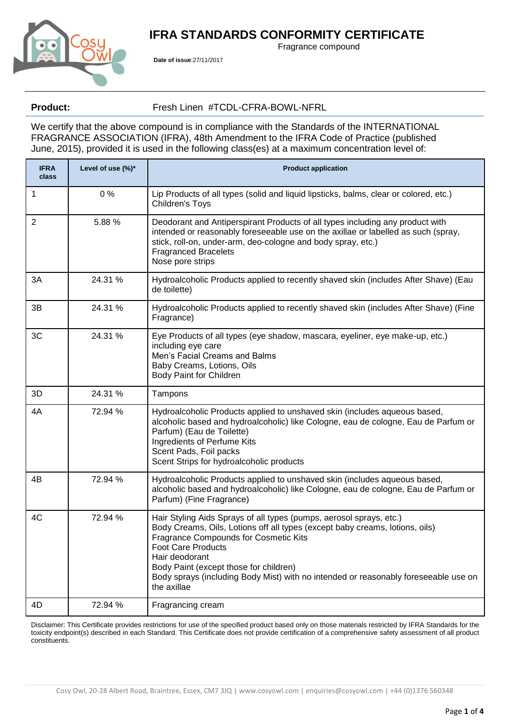## **IFRA STANDARDS CONFORMITY CERTIFICATE**



**Date of issue**:27/11/2017

Fragrance compound

## Product: Fresh Linen #TCDL-CFRA-BOWL-NFRL

We certify that the above compound is in compliance with the Standards of the INTERNATIONAL FRAGRANCE ASSOCIATION (IFRA), 48th Amendment to the IFRA Code of Practice (published June, 2015), provided it is used in the following class(es) at a maximum concentration level of:

| <b>IFRA</b><br>class | Level of use (%)* | <b>Product application</b>                                                                                                                                                                                                                                                                                                                                                                  |  |  |
|----------------------|-------------------|---------------------------------------------------------------------------------------------------------------------------------------------------------------------------------------------------------------------------------------------------------------------------------------------------------------------------------------------------------------------------------------------|--|--|
| 1                    | 0%                | Lip Products of all types (solid and liquid lipsticks, balms, clear or colored, etc.)<br>Children's Toys                                                                                                                                                                                                                                                                                    |  |  |
| $\overline{2}$       | 5.88 %            | Deodorant and Antiperspirant Products of all types including any product with<br>intended or reasonably foreseeable use on the axillae or labelled as such (spray,<br>stick, roll-on, under-arm, deo-cologne and body spray, etc.)<br><b>Fragranced Bracelets</b><br>Nose pore strips                                                                                                       |  |  |
| 3A                   | 24.31 %           | Hydroalcoholic Products applied to recently shaved skin (includes After Shave) (Eau<br>de toilette)                                                                                                                                                                                                                                                                                         |  |  |
| 3B                   | 24.31 %           | Hydroalcoholic Products applied to recently shaved skin (includes After Shave) (Fine<br>Fragrance)                                                                                                                                                                                                                                                                                          |  |  |
| 3C                   | 24.31 %           | Eye Products of all types (eye shadow, mascara, eyeliner, eye make-up, etc.)<br>including eye care<br>Men's Facial Creams and Balms<br>Baby Creams, Lotions, Oils<br>Body Paint for Children                                                                                                                                                                                                |  |  |
| 3D                   | 24.31 %           | Tampons                                                                                                                                                                                                                                                                                                                                                                                     |  |  |
| 4A                   | 72.94 %           | Hydroalcoholic Products applied to unshaved skin (includes aqueous based,<br>alcoholic based and hydroalcoholic) like Cologne, eau de cologne, Eau de Parfum or<br>Parfum) (Eau de Toilette)<br>Ingredients of Perfume Kits<br>Scent Pads, Foil packs<br>Scent Strips for hydroalcoholic products                                                                                           |  |  |
| 4B                   | 72.94 %           | Hydroalcoholic Products applied to unshaved skin (includes aqueous based,<br>alcoholic based and hydroalcoholic) like Cologne, eau de cologne, Eau de Parfum or<br>Parfum) (Fine Fragrance)                                                                                                                                                                                                 |  |  |
| 4C                   | 72.94 %           | Hair Styling Aids Sprays of all types (pumps, aerosol sprays, etc.)<br>Body Creams, Oils, Lotions off all types (except baby creams, lotions, oils)<br><b>Fragrance Compounds for Cosmetic Kits</b><br>Foot Care Products<br>Hair deodorant<br>Body Paint (except those for children)<br>Body sprays (including Body Mist) with no intended or reasonably foreseeable use on<br>the axillae |  |  |
| 4D                   | 72.94 %           | Fragrancing cream                                                                                                                                                                                                                                                                                                                                                                           |  |  |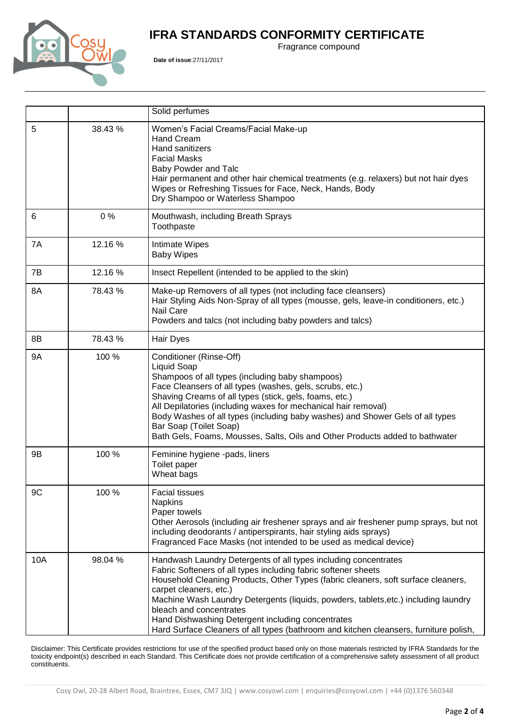## **IFRA STANDARDS CONFORMITY CERTIFICATE**



**Date of issue**:27/11/2017

Fragrance compound

|           |         | Solid perfumes                                                                                                                                                                                                                                                                                                                                                                                                                                                                                                   |  |
|-----------|---------|------------------------------------------------------------------------------------------------------------------------------------------------------------------------------------------------------------------------------------------------------------------------------------------------------------------------------------------------------------------------------------------------------------------------------------------------------------------------------------------------------------------|--|
| 5         | 38.43%  | Women's Facial Creams/Facial Make-up<br><b>Hand Cream</b><br>Hand sanitizers<br><b>Facial Masks</b><br>Baby Powder and Talc<br>Hair permanent and other hair chemical treatments (e.g. relaxers) but not hair dyes<br>Wipes or Refreshing Tissues for Face, Neck, Hands, Body<br>Dry Shampoo or Waterless Shampoo                                                                                                                                                                                                |  |
| 6         | 0%      | Mouthwash, including Breath Sprays<br>Toothpaste                                                                                                                                                                                                                                                                                                                                                                                                                                                                 |  |
| 7A        | 12.16 % | Intimate Wipes<br><b>Baby Wipes</b>                                                                                                                                                                                                                                                                                                                                                                                                                                                                              |  |
| 7B        | 12.16 % | Insect Repellent (intended to be applied to the skin)                                                                                                                                                                                                                                                                                                                                                                                                                                                            |  |
| 8A        | 78.43 % | Make-up Removers of all types (not including face cleansers)<br>Hair Styling Aids Non-Spray of all types (mousse, gels, leave-in conditioners, etc.)<br>Nail Care<br>Powders and talcs (not including baby powders and talcs)                                                                                                                                                                                                                                                                                    |  |
| 8B        | 78.43%  | Hair Dyes                                                                                                                                                                                                                                                                                                                                                                                                                                                                                                        |  |
| <b>9A</b> | 100 %   | Conditioner (Rinse-Off)<br><b>Liquid Soap</b><br>Shampoos of all types (including baby shampoos)<br>Face Cleansers of all types (washes, gels, scrubs, etc.)<br>Shaving Creams of all types (stick, gels, foams, etc.)<br>All Depilatories (including waxes for mechanical hair removal)<br>Body Washes of all types (including baby washes) and Shower Gels of all types<br>Bar Soap (Toilet Soap)<br>Bath Gels, Foams, Mousses, Salts, Oils and Other Products added to bathwater                              |  |
| 9B        | 100 %   | Feminine hygiene -pads, liners<br>Toilet paper<br>Wheat bags                                                                                                                                                                                                                                                                                                                                                                                                                                                     |  |
| 9C        | 100 %   | <b>Facial tissues</b><br><b>Napkins</b><br>Paper towels<br>Other Aerosols (including air freshener sprays and air freshener pump sprays, but not<br>including deodorants / antiperspirants, hair styling aids sprays)<br>Fragranced Face Masks (not intended to be used as medical device)                                                                                                                                                                                                                       |  |
| 10A       | 98.04%  | Handwash Laundry Detergents of all types including concentrates<br>Fabric Softeners of all types including fabric softener sheets<br>Household Cleaning Products, Other Types (fabric cleaners, soft surface cleaners,<br>carpet cleaners, etc.)<br>Machine Wash Laundry Detergents (liquids, powders, tablets, etc.) including laundry<br>bleach and concentrates<br>Hand Dishwashing Detergent including concentrates<br>Hard Surface Cleaners of all types (bathroom and kitchen cleansers, furniture polish, |  |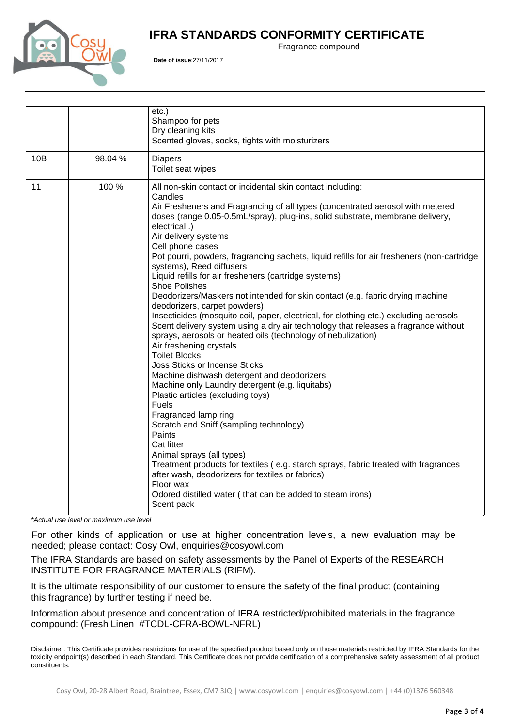## **IFRA STANDARDS CONFORMITY CERTIFICATE**



**Date of issue**:27/11/2017

Fragrance compound

|     |        | $etc.$ )<br>Shampoo for pets<br>Dry cleaning kits<br>Scented gloves, socks, tights with moisturizers                                                                                                                                                                                                                                                                                                                                                                                                                                                                                                                                                                                                                                                                                                                                                                                                                                                                                                                                                                                                                                                                                                                                                                                                                                                                                                                                                                                       |
|-----|--------|--------------------------------------------------------------------------------------------------------------------------------------------------------------------------------------------------------------------------------------------------------------------------------------------------------------------------------------------------------------------------------------------------------------------------------------------------------------------------------------------------------------------------------------------------------------------------------------------------------------------------------------------------------------------------------------------------------------------------------------------------------------------------------------------------------------------------------------------------------------------------------------------------------------------------------------------------------------------------------------------------------------------------------------------------------------------------------------------------------------------------------------------------------------------------------------------------------------------------------------------------------------------------------------------------------------------------------------------------------------------------------------------------------------------------------------------------------------------------------------------|
| 10B | 98.04% | <b>Diapers</b><br>Toilet seat wipes                                                                                                                                                                                                                                                                                                                                                                                                                                                                                                                                                                                                                                                                                                                                                                                                                                                                                                                                                                                                                                                                                                                                                                                                                                                                                                                                                                                                                                                        |
| 11  | 100 %  | All non-skin contact or incidental skin contact including:<br>Candles<br>Air Fresheners and Fragrancing of all types (concentrated aerosol with metered<br>doses (range 0.05-0.5mL/spray), plug-ins, solid substrate, membrane delivery,<br>electrical)<br>Air delivery systems<br>Cell phone cases<br>Pot pourri, powders, fragrancing sachets, liquid refills for air fresheners (non-cartridge<br>systems), Reed diffusers<br>Liquid refills for air fresheners (cartridge systems)<br><b>Shoe Polishes</b><br>Deodorizers/Maskers not intended for skin contact (e.g. fabric drying machine<br>deodorizers, carpet powders)<br>Insecticides (mosquito coil, paper, electrical, for clothing etc.) excluding aerosols<br>Scent delivery system using a dry air technology that releases a fragrance without<br>sprays, aerosols or heated oils (technology of nebulization)<br>Air freshening crystals<br><b>Toilet Blocks</b><br><b>Joss Sticks or Incense Sticks</b><br>Machine dishwash detergent and deodorizers<br>Machine only Laundry detergent (e.g. liquitabs)<br>Plastic articles (excluding toys)<br><b>Fuels</b><br>Fragranced lamp ring<br>Scratch and Sniff (sampling technology)<br>Paints<br>Cat litter<br>Animal sprays (all types)<br>Treatment products for textiles (e.g. starch sprays, fabric treated with fragrances<br>after wash, deodorizers for textiles or fabrics)<br>Floor wax<br>Odored distilled water (that can be added to steam irons)<br>Scent pack |
|     | $*A$   |                                                                                                                                                                                                                                                                                                                                                                                                                                                                                                                                                                                                                                                                                                                                                                                                                                                                                                                                                                                                                                                                                                                                                                                                                                                                                                                                                                                                                                                                                            |

*\*Actual use level or maximum use level*

For other kinds of application or use at higher concentration levels, a new evaluation may be needed; please contact: Cosy Owl, enquiries@cosyowl.com

The IFRA Standards are based on safety assessments by the Panel of Experts of the RESEARCH INSTITUTE FOR FRAGRANCE MATERIALS (RIFM).

It is the ultimate responsibility of our customer to ensure the safety of the final product (containing this fragrance) by further testing if need be.

Information about presence and concentration of IFRA restricted/prohibited materials in the fragrance compound: (Fresh Linen #TCDL-CFRA-BOWL-NFRL)